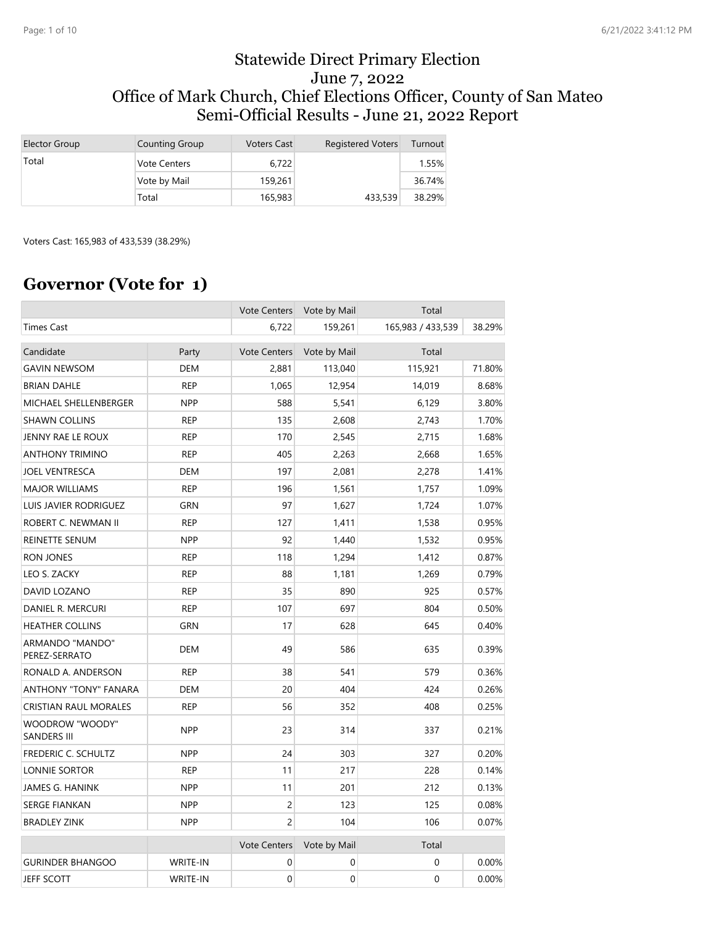#### Statewide Direct Primary Election June 7, 2022 Office of Mark Church, Chief Elections Officer, County of San Mateo Semi-Official Results - June 21, 2022 Report

| Elector Group | Counting Group      | <b>Voters Cast</b> | <b>Registered Voters</b> | Turnout |
|---------------|---------------------|--------------------|--------------------------|---------|
| Total         | <b>Vote Centers</b> | 6.722              |                          | 1.55%   |
|               | Vote by Mail        | 159,261            |                          | 36.74%  |
|               | Total               | 165,983            | 433,539                  | 38.29%  |

Voters Cast: 165,983 of 433,539 (38.29%)

### **Governor (Vote for 1)**

|                                       |            | <b>Vote Centers</b> | Vote by Mail | Total             |        |
|---------------------------------------|------------|---------------------|--------------|-------------------|--------|
| <b>Times Cast</b>                     |            | 6,722               | 159,261      | 165,983 / 433,539 | 38.29% |
| Candidate                             | Party      | <b>Vote Centers</b> | Vote by Mail | Total             |        |
| <b>GAVIN NEWSOM</b>                   | <b>DEM</b> | 2,881               | 113,040      | 115,921           | 71.80% |
| <b>BRIAN DAHLE</b>                    | <b>REP</b> | 1,065               | 12,954       | 14,019            | 8.68%  |
| MICHAEL SHELLENBERGER                 | <b>NPP</b> | 588                 | 5,541        | 6,129             | 3.80%  |
| <b>SHAWN COLLINS</b>                  | <b>REP</b> | 135                 | 2,608        | 2,743             | 1.70%  |
| JENNY RAE LE ROUX                     | <b>REP</b> | 170                 | 2,545        | 2,715             | 1.68%  |
| <b>ANTHONY TRIMINO</b>                | <b>REP</b> | 405                 | 2,263        | 2,668             | 1.65%  |
| <b>JOEL VENTRESCA</b>                 | <b>DEM</b> | 197                 | 2,081        | 2,278             | 1.41%  |
| <b>MAJOR WILLIAMS</b>                 | <b>REP</b> | 196                 | 1,561        | 1,757             | 1.09%  |
| LUIS JAVIER RODRIGUEZ                 | <b>GRN</b> | 97                  | 1,627        | 1,724             | 1.07%  |
| ROBERT C. NEWMAN II                   | <b>REP</b> | 127                 | 1,411        | 1,538             | 0.95%  |
| REINETTE SENUM                        | <b>NPP</b> | 92                  | 1,440        | 1,532             | 0.95%  |
| RON JONES                             | <b>REP</b> | 118                 | 1,294        | 1,412             | 0.87%  |
| LEO S. ZACKY                          | <b>REP</b> | 88                  | 1,181        | 1,269             | 0.79%  |
| DAVID LOZANO                          | <b>REP</b> | 35                  | 890          | 925               | 0.57%  |
| DANIEL R. MERCURI                     | <b>REP</b> | 107                 | 697          | 804               | 0.50%  |
| <b>HEATHER COLLINS</b>                | <b>GRN</b> | 17                  | 628          | 645               | 0.40%  |
| ARMANDO "MANDO"<br>PEREZ-SERRATO      | <b>DEM</b> | 49                  | 586          | 635               | 0.39%  |
| RONALD A. ANDERSON                    | <b>REP</b> | 38                  | 541          | 579               | 0.36%  |
| <b>ANTHONY "TONY" FANARA</b>          | <b>DEM</b> | 20                  | 404          | 424               | 0.26%  |
| <b>CRISTIAN RAUL MORALES</b>          | <b>REP</b> | 56                  | 352          | 408               | 0.25%  |
| WOODROW "WOODY"<br><b>SANDERS III</b> | <b>NPP</b> | 23                  | 314          | 337               | 0.21%  |
| FREDERIC C. SCHULTZ                   | <b>NPP</b> | 24                  | 303          | 327               | 0.20%  |
| LONNIE SORTOR                         | <b>REP</b> | 11                  | 217          | 228               | 0.14%  |
| JAMES G. HANINK                       | <b>NPP</b> | 11                  | 201          | 212               | 0.13%  |
| <b>SERGE FIANKAN</b>                  | <b>NPP</b> | 2                   | 123          | 125               | 0.08%  |
| <b>BRADLEY ZINK</b>                   | <b>NPP</b> | $\overline{c}$      | 104          | 106               | 0.07%  |
|                                       |            | <b>Vote Centers</b> | Vote by Mail | Total             |        |
| <b>GURINDER BHANGOO</b>               | WRITE-IN   | $\mathbf 0$         | $\mathbf 0$  | 0                 | 0.00%  |
| <b>JEFF SCOTT</b>                     | WRITE-IN   | $\mathbf 0$         | $\mathbf 0$  | $\mathbf 0$       | 0.00%  |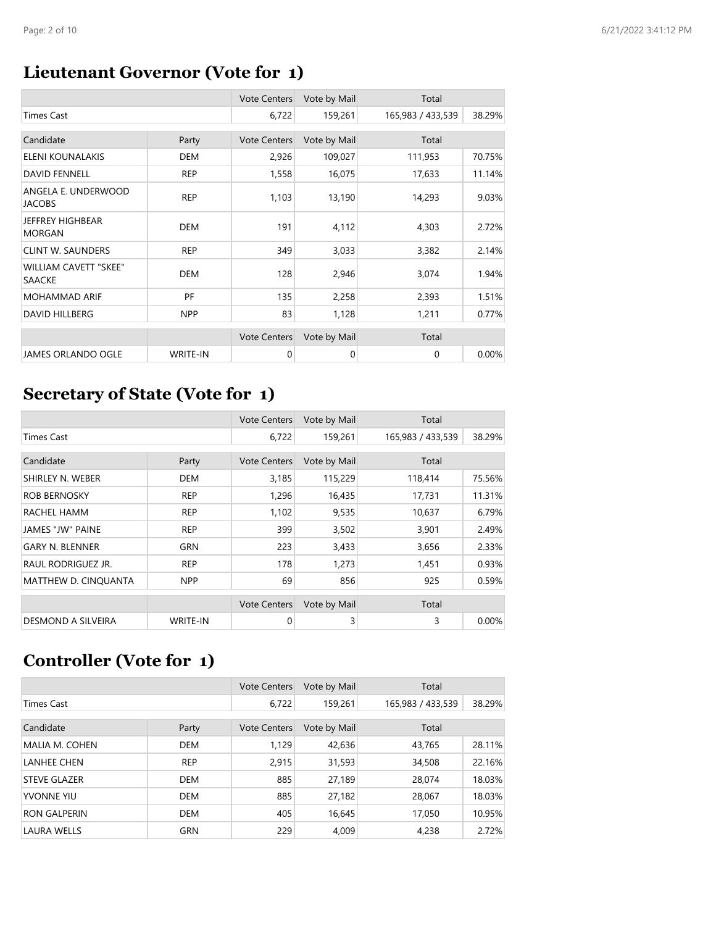# **Lieutenant Governor (Vote for 1)**

|                                               |                 | <b>Vote Centers</b> | Vote by Mail | Total             |        |
|-----------------------------------------------|-----------------|---------------------|--------------|-------------------|--------|
| <b>Times Cast</b>                             |                 | 6,722               | 159,261      | 165,983 / 433,539 | 38.29% |
| Candidate                                     | Party           | <b>Vote Centers</b> | Vote by Mail | Total             |        |
| ELENI KOUNALAKIS                              | <b>DEM</b>      | 2,926               | 109,027      | 111,953           | 70.75% |
| <b>DAVID FENNELL</b>                          | <b>REP</b>      | 1,558               | 16,075       | 17,633            | 11.14% |
| ANGELA E. UNDERWOOD<br><b>JACOBS</b>          | <b>REP</b>      | 1,103               | 13,190       | 14,293            | 9.03%  |
| <b>JEFFREY HIGHBEAR</b><br><b>MORGAN</b>      | <b>DEM</b>      | 191                 | 4,112        | 4,303             | 2.72%  |
| <b>CLINT W. SAUNDERS</b>                      | <b>REP</b>      | 349                 | 3,033        | 3,382             | 2.14%  |
| <b>WILLIAM CAVETT "SKEE"</b><br><b>SAACKE</b> | <b>DEM</b>      | 128                 | 2,946        | 3,074             | 1.94%  |
| <b>MOHAMMAD ARIF</b>                          | PF              | 135                 | 2,258        | 2,393             | 1.51%  |
| <b>DAVID HILLBERG</b>                         | <b>NPP</b>      | 83                  | 1,128        | 1,211             | 0.77%  |
|                                               |                 | <b>Vote Centers</b> | Vote by Mail | Total             |        |
| <b>JAMES ORLANDO OGLE</b>                     | <b>WRITE-IN</b> | 0                   | 0            | 0                 | 0.00%  |

# **Secretary of State (Vote for 1)**

|                             |                 | <b>Vote Centers</b> | Vote by Mail | Total             |        |
|-----------------------------|-----------------|---------------------|--------------|-------------------|--------|
| <b>Times Cast</b>           |                 | 6,722               | 159,261      | 165,983 / 433,539 | 38.29% |
|                             |                 |                     |              |                   |        |
| Candidate                   | Party           | <b>Vote Centers</b> | Vote by Mail | Total             |        |
| SHIRLEY N. WEBER            | <b>DEM</b>      | 3,185               | 115,229      | 118,414           | 75.56% |
| <b>ROB BERNOSKY</b>         | <b>REP</b>      | 1,296               | 16,435       | 17,731            | 11.31% |
| RACHEL HAMM                 | <b>REP</b>      | 1,102               | 9,535        | 10,637            | 6.79%  |
| JAMES "JW" PAINE            | <b>REP</b>      | 399                 | 3,502        | 3,901             | 2.49%  |
| <b>GARY N. BLENNER</b>      | GRN             | 223                 | 3,433        | 3,656             | 2.33%  |
| RAUL RODRIGUEZ JR.          | <b>REP</b>      | 178                 | 1,273        | 1,451             | 0.93%  |
| <b>MATTHEW D. CINOUANTA</b> | <b>NPP</b>      | 69                  | 856          | 925               | 0.59%  |
|                             |                 | <b>Vote Centers</b> | Vote by Mail | Total             |        |
|                             |                 |                     |              |                   |        |
| DESMOND A SILVEIRA          | <b>WRITE-IN</b> | 0                   | 3            | 3                 | 0.00%  |

# **Controller (Vote for 1)**

|                     |            | <b>Vote Centers</b> | Vote by Mail | Total             |        |
|---------------------|------------|---------------------|--------------|-------------------|--------|
| <b>Times Cast</b>   |            | 6,722               | 159,261      | 165,983 / 433,539 | 38.29% |
|                     |            |                     |              |                   |        |
| Candidate           | Party      | <b>Vote Centers</b> | Vote by Mail | Total             |        |
| MALIA M. COHEN      | <b>DEM</b> | 1,129               | 42,636       | 43,765            | 28.11% |
| <b>LANHEE CHEN</b>  | <b>REP</b> | 2,915               | 31,593       | 34,508            | 22.16% |
| <b>STEVE GLAZER</b> | <b>DEM</b> | 885                 | 27,189       | 28,074            | 18.03% |
| YVONNE YIU          | <b>DEM</b> | 885                 | 27,182       | 28,067            | 18.03% |
| <b>RON GALPERIN</b> | <b>DEM</b> | 405                 | 16,645       | 17,050            | 10.95% |
| <b>LAURA WELLS</b>  | <b>GRN</b> | 229                 | 4,009        | 4,238             | 2.72%  |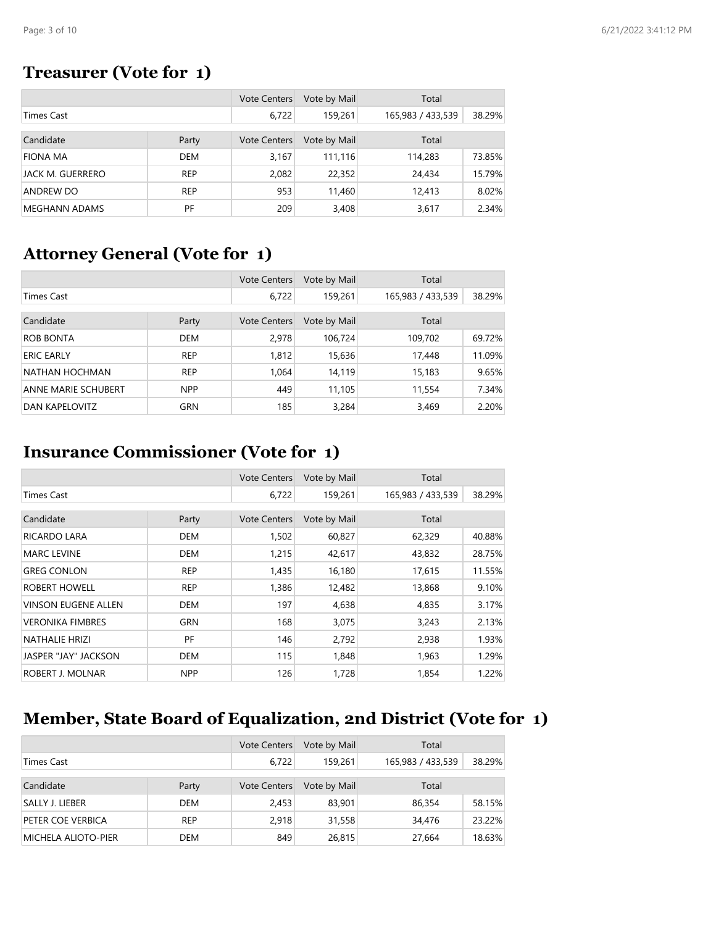### **Treasurer (Vote for 1)**

|                      |            | <b>Vote Centers</b> | Vote by Mail | Total             |        |
|----------------------|------------|---------------------|--------------|-------------------|--------|
| Times Cast           |            | 6,722               | 159,261      | 165,983 / 433,539 | 38.29% |
|                      |            |                     |              |                   |        |
| Candidate            | Party      | <b>Vote Centers</b> | Vote by Mail | Total             |        |
| <b>FIONA MA</b>      | DEM        | 3.167               | 111.116      | 114,283           | 73.85% |
| JACK M. GUERRERO     | <b>REP</b> | 2,082               | 22,352       | 24,434            | 15.79% |
| ANDREW DO            | <b>REP</b> | 953                 | 11,460       | 12,413            | 8.02%  |
| <b>MEGHANN ADAMS</b> | PF         | 209                 | 3,408        | 3,617             | 2.34%  |

### **Attorney General (Vote for 1)**

|                     |            | <b>Vote Centers</b> | Vote by Mail | Total             |        |
|---------------------|------------|---------------------|--------------|-------------------|--------|
| <b>Times Cast</b>   |            | 6,722               | 159,261      | 165,983 / 433,539 | 38.29% |
|                     |            |                     |              |                   |        |
| Candidate           | Party      | <b>Vote Centers</b> | Vote by Mail | Total             |        |
| <b>ROB BONTA</b>    | <b>DEM</b> | 2,978               | 106,724      | 109,702           | 69.72% |
| <b>ERIC EARLY</b>   | <b>REP</b> | 1,812               | 15,636       | 17,448            | 11.09% |
| NATHAN HOCHMAN      | <b>REP</b> | 1,064               | 14,119       | 15,183            | 9.65%  |
| ANNE MARIE SCHUBERT | <b>NPP</b> | 449                 | 11,105       | 11,554            | 7.34%  |
| DAN KAPELOVITZ      | GRN        | 185                 | 3,284        | 3,469             | 2.20%  |

### **Insurance Commissioner (Vote for 1)**

|                            |            | <b>Vote Centers</b> | Vote by Mail | Total             |        |
|----------------------------|------------|---------------------|--------------|-------------------|--------|
| <b>Times Cast</b>          |            | 6,722               | 159,261      | 165,983 / 433,539 | 38.29% |
|                            |            |                     |              |                   |        |
| Candidate                  | Party      | <b>Vote Centers</b> | Vote by Mail | Total             |        |
| <b>RICARDO LARA</b>        | DEM        | 1,502               | 60,827       | 62,329            | 40.88% |
| <b>MARC LEVINE</b>         | <b>DEM</b> | 1,215               | 42,617       | 43,832            | 28.75% |
| <b>GREG CONLON</b>         | <b>REP</b> | 1,435               | 16,180       | 17,615            | 11.55% |
| ROBERT HOWELL              | <b>REP</b> | 1,386               | 12,482       | 13,868            | 9.10%  |
| <b>VINSON EUGENE ALLEN</b> | <b>DEM</b> | 197                 | 4,638        | 4,835             | 3.17%  |
| <b>VERONIKA FIMBRES</b>    | <b>GRN</b> | 168                 | 3,075        | 3,243             | 2.13%  |
| <b>NATHALIE HRIZI</b>      | PF         | 146                 | 2,792        | 2,938             | 1.93%  |
| JASPER "JAY" JACKSON       | <b>DEM</b> | 115                 | 1,848        | 1,963             | 1.29%  |
| ROBERT J. MOLNAR           | <b>NPP</b> | 126                 | 1,728        | 1,854             | 1.22%  |

# **Member, State Board of Equalization, 2nd District (Vote for 1)**

|                            |            | <b>Vote Centers</b> | Vote by Mail | Total             |        |
|----------------------------|------------|---------------------|--------------|-------------------|--------|
| Times Cast                 |            | 6,722               | 159,261      | 165,983 / 433,539 | 38.29% |
| Candidate                  | Party      | <b>Vote Centers</b> | Vote by Mail | Total             |        |
| SALLY J. LIEBER            | DEM        | 2,453               | 83,901       | 86,354            | 58.15% |
| PETER COE VERBICA          | <b>REP</b> | 2.918               | 31,558       | 34,476            | 23.22% |
| <b>MICHELA ALIOTO-PIER</b> | DEM        | 849                 | 26,815       | 27,664            | 18.63% |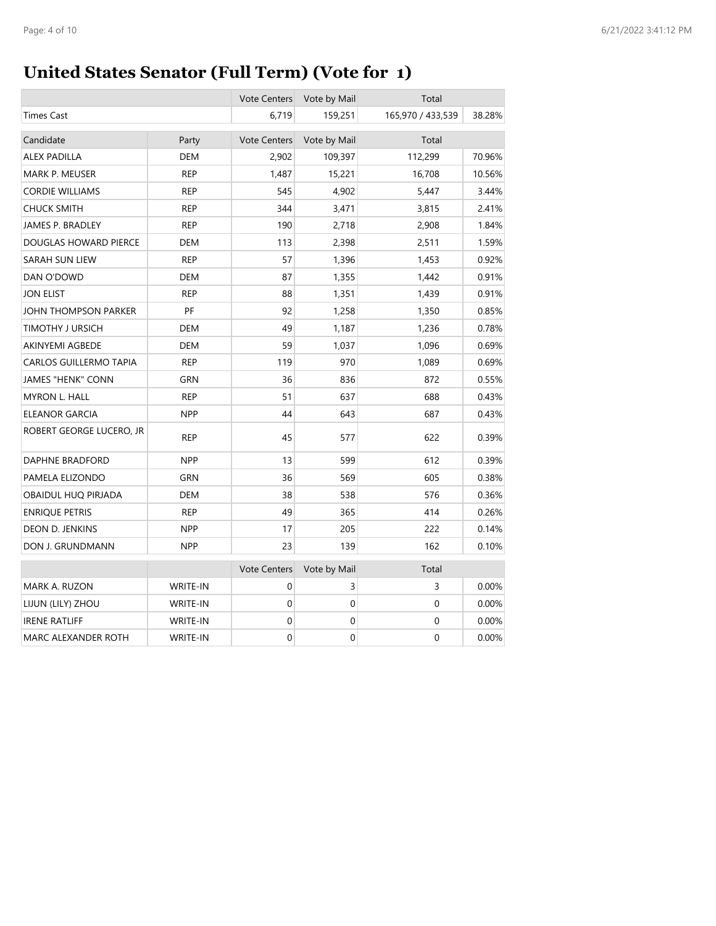# **United States Senator (Full Term) (Vote for 1)**

|                               |            | <b>Vote Centers</b> | Vote by Mail     | Total             |          |
|-------------------------------|------------|---------------------|------------------|-------------------|----------|
| <b>Times Cast</b>             |            | 6,719               | 159,251          | 165,970 / 433,539 | 38.28%   |
| Candidate                     | Party      | <b>Vote Centers</b> | Vote by Mail     | Total             |          |
| <b>ALEX PADILLA</b>           | <b>DEM</b> | 2,902               | 109,397          | 112,299           | 70.96%   |
| MARK P. MEUSER                | <b>REP</b> | 1,487               | 15,221           | 16,708            | 10.56%   |
| <b>CORDIE WILLIAMS</b>        | REP        | 545                 | 4,902            | 5,447             | 3.44%    |
| <b>CHUCK SMITH</b>            | <b>REP</b> | 344                 | 3,471            | 3,815             | 2.41%    |
| JAMES P. BRADLEY              | <b>REP</b> | 190                 | 2,718            | 2,908             | 1.84%    |
| DOUGLAS HOWARD PIERCE         | <b>DEM</b> | 113                 | 2,398            | 2,511             | 1.59%    |
| SARAH SUN LIEW                | <b>REP</b> | 57                  | 1,396            | 1,453             | 0.92%    |
| DAN O'DOWD                    | <b>DEM</b> | 87                  | 1,355            | 1,442             | 0.91%    |
| <b>JON ELIST</b>              | <b>REP</b> | 88                  | 1,351            | 1,439             | 0.91%    |
| JOHN THOMPSON PARKER          | PF         | 92                  | 1,258            | 1,350             | 0.85%    |
| TIMOTHY J URSICH              | <b>DEM</b> | 49                  | 1,187            | 1,236             | 0.78%    |
| <b>AKINYEMI AGBEDE</b>        | <b>DEM</b> | 59                  | 1,037            | 1,096             | 0.69%    |
| <b>CARLOS GUILLERMO TAPIA</b> | <b>REP</b> | 119                 | 970              | 1,089             | 0.69%    |
| <b>JAMES "HENK" CONN</b>      | <b>GRN</b> | 36                  | 836              | 872               | 0.55%    |
| <b>MYRON L. HALL</b>          | <b>REP</b> | 51                  | 637              | 688               | 0.43%    |
| ELEANOR GARCIA                | <b>NPP</b> | 44                  | 643              | 687               | 0.43%    |
| ROBERT GEORGE LUCERO, JR      | <b>REP</b> | 45                  | 577              | 622               | 0.39%    |
| DAPHNE BRADFORD               | <b>NPP</b> | 13                  | 599              | 612               | 0.39%    |
| PAMELA ELIZONDO               | <b>GRN</b> | 36                  | 569              | 605               | 0.38%    |
| OBAIDUL HUQ PIRJADA           | <b>DEM</b> | 38                  | 538              | 576               | 0.36%    |
| <b>ENRIQUE PETRIS</b>         | <b>REP</b> | 49                  | 365              | 414               | 0.26%    |
| DEON D. JENKINS               | <b>NPP</b> | 17                  | 205              | 222               | 0.14%    |
| DON J. GRUNDMANN              | <b>NPP</b> | 23                  | 139              | 162               | 0.10%    |
|                               |            | <b>Vote Centers</b> | Vote by Mail     | Total             |          |
| MARK A. RUZON                 | WRITE-IN   | 0                   | 3                | 3                 | $0.00\%$ |
| LIJUN (LILY) ZHOU             | WRITE-IN   | $\mathbf 0$         | $\pmb{0}$        | 0                 | $0.00\%$ |
| <b>IRENE RATLIFF</b>          | WRITE-IN   | $\mathbf 0$         | 0                | 0                 | 0.00%    |
| MARC ALEXANDER ROTH           | WRITE-IN   | $\mathbf 0$         | $\boldsymbol{0}$ | 0                 | 0.00%    |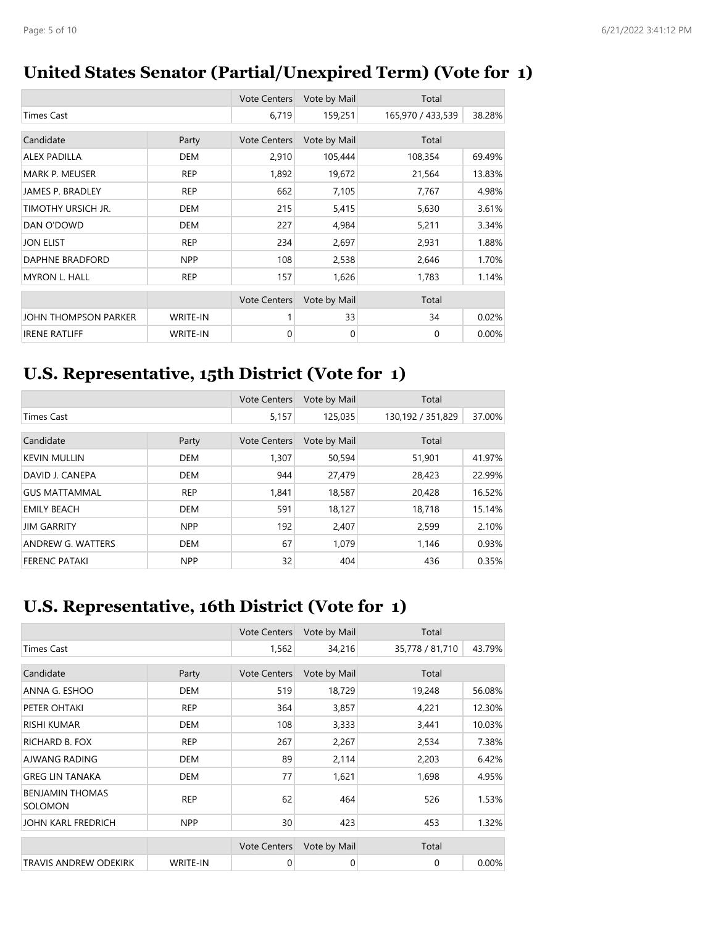### **United States Senator (Partial/Unexpired Term) (Vote for 1)**

|                         |                 | <b>Vote Centers</b> | Vote by Mail | Total             |        |
|-------------------------|-----------------|---------------------|--------------|-------------------|--------|
| <b>Times Cast</b>       |                 | 6,719               | 159,251      | 165,970 / 433,539 | 38.28% |
| Candidate               | Party           | <b>Vote Centers</b> | Vote by Mail | Total             |        |
| <b>ALEX PADILLA</b>     | <b>DEM</b>      | 2,910               | 105,444      | 108,354           | 69.49% |
| <b>MARK P. MEUSER</b>   | <b>REP</b>      | 1,892               | 19,672       | 21,564            | 13.83% |
| <b>JAMES P. BRADLEY</b> | <b>REP</b>      | 662                 | 7,105        | 7,767             | 4.98%  |
| TIMOTHY URSICH JR.      | <b>DEM</b>      | 215                 | 5,415        | 5,630             | 3.61%  |
| DAN O'DOWD              | <b>DEM</b>      | 227                 | 4,984        | 5,211             | 3.34%  |
| <b>JON ELIST</b>        | <b>REP</b>      | 234                 | 2,697        | 2,931             | 1.88%  |
| DAPHNE BRADFORD         | <b>NPP</b>      | 108                 | 2,538        | 2,646             | 1.70%  |
| <b>MYRON L. HALL</b>    | <b>REP</b>      | 157                 | 1,626        | 1,783             | 1.14%  |
|                         |                 | <b>Vote Centers</b> | Vote by Mail | Total             |        |
| JOHN THOMPSON PARKER    | <b>WRITE-IN</b> |                     | 33           | 34                | 0.02%  |
| <b>IRENE RATLIFF</b>    | <b>WRITE-IN</b> | 0                   | 0            | $\mathbf 0$       | 0.00%  |

### **U.S. Representative, 15th District (Vote for 1)**

|                      |            | <b>Vote Centers</b> | Vote by Mail | Total             |        |
|----------------------|------------|---------------------|--------------|-------------------|--------|
| <b>Times Cast</b>    |            | 5,157               | 125,035      | 130,192 / 351,829 | 37.00% |
| Candidate            | Party      | <b>Vote Centers</b> | Vote by Mail | Total             |        |
| <b>KEVIN MULLIN</b>  | <b>DEM</b> | 1,307               | 50,594       | 51,901            | 41.97% |
| DAVID J. CANEPA      | <b>DEM</b> | 944                 | 27,479       | 28,423            | 22.99% |
| <b>GUS MATTAMMAL</b> | <b>REP</b> | 1.841               | 18,587       | 20,428            | 16.52% |
| <b>EMILY BEACH</b>   | <b>DEM</b> | 591                 | 18,127       | 18,718            | 15.14% |
| <b>JIM GARRITY</b>   | <b>NPP</b> | 192                 | 2,407        | 2,599             | 2.10%  |
| ANDREW G. WATTERS    | <b>DEM</b> | 67                  | 1,079        | 1,146             | 0.93%  |
| <b>FERENC PATAKI</b> | <b>NPP</b> | 32                  | 404          | 436               | 0.35%  |

# **U.S. Representative, 16th District (Vote for 1)**

|                                          |                 | <b>Vote Centers</b> | Vote by Mail | Total           |        |
|------------------------------------------|-----------------|---------------------|--------------|-----------------|--------|
| <b>Times Cast</b>                        |                 | 1,562               | 34,216       | 35,778 / 81,710 | 43.79% |
|                                          |                 |                     |              |                 |        |
| Candidate                                | Party           | <b>Vote Centers</b> | Vote by Mail | Total           |        |
| ANNA G. ESHOO                            | <b>DEM</b>      | 519                 | 18,729       | 19,248          | 56.08% |
| PETER OHTAKI                             | <b>REP</b>      | 364                 | 3,857        | 4,221           | 12.30% |
| <b>RISHI KUMAR</b>                       | <b>DEM</b>      | 108                 | 3,333        | 3,441           | 10.03% |
| RICHARD B. FOX                           | <b>REP</b>      | 267                 | 2,267        | 2,534           | 7.38%  |
| AJWANG RADING                            | <b>DEM</b>      | 89                  | 2,114        | 2,203           | 6.42%  |
| <b>GREG LIN TANAKA</b>                   | <b>DEM</b>      | 77                  | 1,621        | 1,698           | 4.95%  |
| <b>BENJAMIN THOMAS</b><br><b>SOLOMON</b> | <b>REP</b>      | 62                  | 464          | 526             | 1.53%  |
| JOHN KARL FREDRICH                       | <b>NPP</b>      | 30                  | 423          | 453             | 1.32%  |
|                                          |                 | <b>Vote Centers</b> | Vote by Mail | Total           |        |
| <b>TRAVIS ANDREW ODEKIRK</b>             | <b>WRITE-IN</b> | 0                   | 0            | 0               | 0.00%  |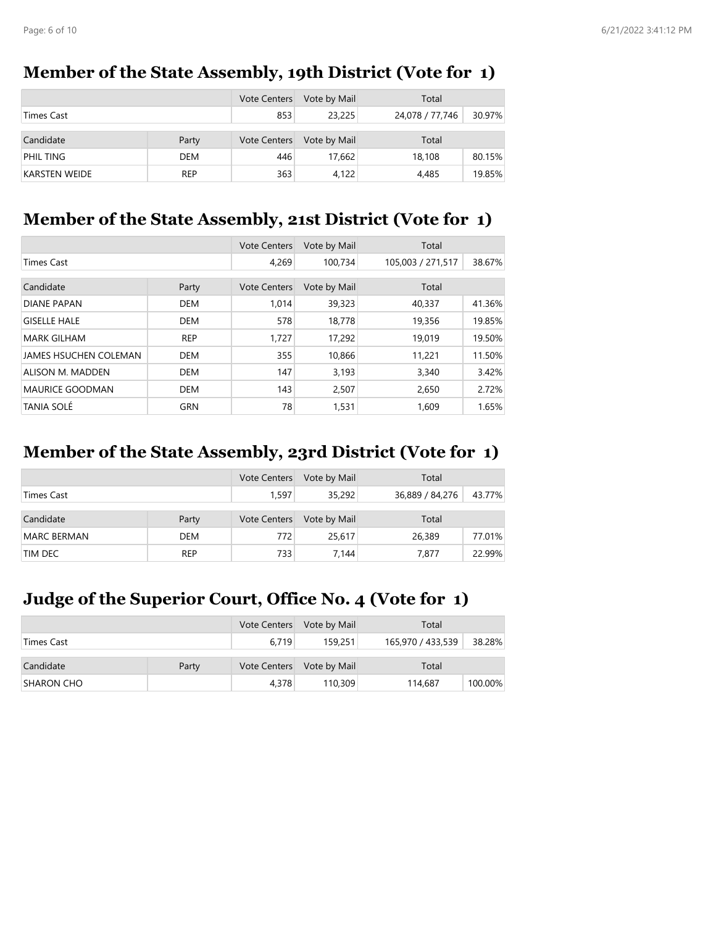### **Member of the State Assembly, 19th District (Vote for 1)**

|                      |            | <b>Vote Centers</b> | Vote by Mail | Total           |        |
|----------------------|------------|---------------------|--------------|-----------------|--------|
| <b>Times Cast</b>    |            | 853                 | 23,225       | 24,078 / 77,746 | 30.97% |
| Candidate            | Party      | <b>Vote Centers</b> | Vote by Mail | Total           |        |
| PHIL TING            | DEM        | 446                 | 17,662       | 18,108          | 80.15% |
| <b>KARSTEN WEIDE</b> | <b>REP</b> | 363                 | 4,122        | 4,485           | 19.85% |

#### **Member of the State Assembly, 21st District (Vote for 1)**

|                              |            | <b>Vote Centers</b> | Vote by Mail | Total             |        |
|------------------------------|------------|---------------------|--------------|-------------------|--------|
| <b>Times Cast</b>            |            | 4,269               | 100.734      | 105,003 / 271,517 | 38.67% |
| Candidate                    | Party      | <b>Vote Centers</b> | Vote by Mail | Total             |        |
|                              |            |                     |              |                   |        |
| <b>DIANE PAPAN</b>           | <b>DEM</b> | 1.014               | 39,323       | 40,337            | 41.36% |
| <b>GISELLE HALE</b>          | <b>DEM</b> | 578                 | 18,778       | 19,356            | 19.85% |
| <b>MARK GILHAM</b>           | <b>REP</b> | 1.727               | 17,292       | 19,019            | 19.50% |
| <b>JAMES HSUCHEN COLEMAN</b> | <b>DEM</b> | 355                 | 10,866       | 11,221            | 11.50% |
| ALISON M. MADDEN             | <b>DEM</b> | 147                 | 3,193        | 3,340             | 3.42%  |
| <b>MAURICE GOODMAN</b>       | <b>DEM</b> | 143                 | 2,507        | 2,650             | 2.72%  |
| <b>TANIA SOLÉ</b>            | <b>GRN</b> | 78                  | 1,531        | 1,609             | 1.65%  |

### **Member of the State Assembly, 23rd District (Vote for 1)**

|                    |            | Vote Centers        | Vote by Mail | Total           |        |
|--------------------|------------|---------------------|--------------|-----------------|--------|
| Times Cast         |            | 1,597               | 35,292       | 36,889 / 84,276 | 43.77% |
| Candidate          | Party      | <b>Vote Centers</b> | Vote by Mail | Total           |        |
| <b>MARC BERMAN</b> | <b>DEM</b> | 772                 | 25,617       | 26,389          | 77.01% |
| TIM DEC            | <b>REP</b> | 733                 | 7,144        | 7.877           | 22.99% |

### **Judge of the Superior Court, Office No. 4 (Vote for 1)**

|                   |       | Vote Centers        | Vote by Mail | Total             |         |
|-------------------|-------|---------------------|--------------|-------------------|---------|
| Times Cast        |       | 6.719               | 159,251      | 165,970 / 433,539 | 38.28%  |
|                   |       |                     |              |                   |         |
| Candidate         | Party | <b>Vote Centers</b> | Vote by Mail | Total             |         |
| <b>SHARON CHO</b> |       | 4,378               | 110,309      | 114,687           | 100.00% |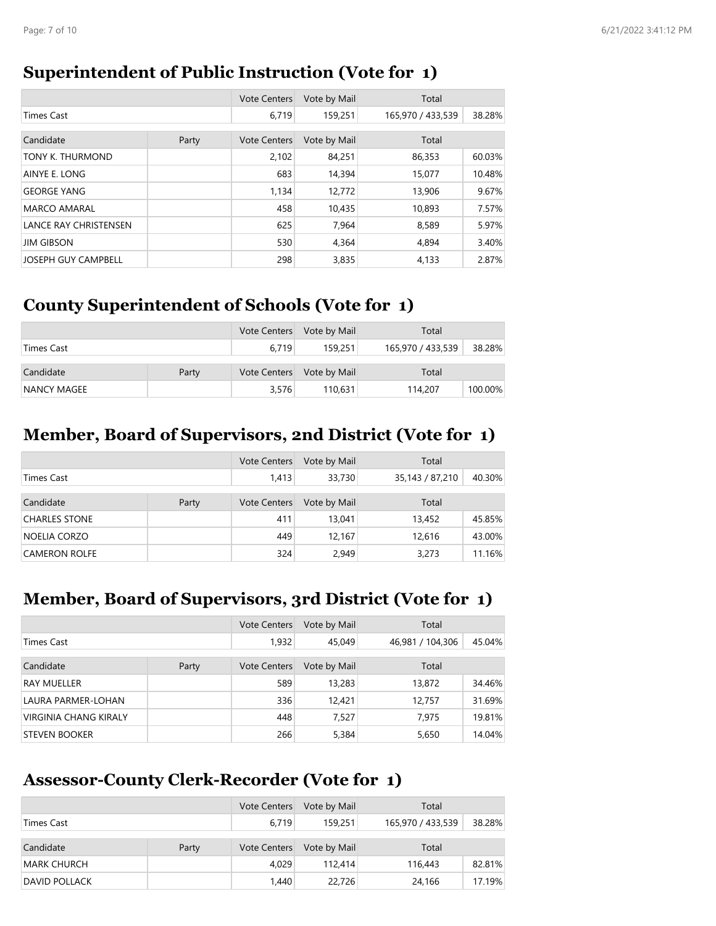#### **Superintendent of Public Instruction (Vote for 1)**

|                              |       | <b>Vote Centers</b> | Vote by Mail | Total             |        |
|------------------------------|-------|---------------------|--------------|-------------------|--------|
| <b>Times Cast</b>            |       | 6.719               | 159,251      | 165,970 / 433,539 | 38.28% |
| Candidate                    |       |                     |              | Total             |        |
|                              | Party | <b>Vote Centers</b> | Vote by Mail |                   |        |
| TONY K. THURMOND             |       | 2,102               | 84,251       | 86,353            | 60.03% |
| AINYE E. LONG                |       | 683                 | 14,394       | 15,077            | 10.48% |
| <b>GEORGE YANG</b>           |       | 1,134               | 12,772       | 13,906            | 9.67%  |
| <b>MARCO AMARAL</b>          |       | 458                 | 10,435       | 10.893            | 7.57%  |
| <b>LANCE RAY CHRISTENSEN</b> |       | 625                 | 7,964        | 8,589             | 5.97%  |
| <b>JIM GIBSON</b>            |       | 530                 | 4,364        | 4,894             | 3.40%  |
| <b>JOSEPH GUY CAMPBELL</b>   |       | 298                 | 3,835        | 4,133             | 2.87%  |

### **County Superintendent of Schools (Vote for 1)**

|             |       |                     | Vote Centers Vote by Mail | Total             |         |
|-------------|-------|---------------------|---------------------------|-------------------|---------|
| Times Cast  |       | 6.719               | 159.251                   | 165,970 / 433,539 | 38.28%  |
|             |       |                     |                           |                   |         |
| Candidate   | Party | <b>Vote Centers</b> | Vote by Mail              | Total             |         |
| NANCY MAGEE |       | 3,576               | 110.631                   | 114,207           | 100.00% |

#### **Member, Board of Supervisors, 2nd District (Vote for 1)**

|                      |       | <b>Vote Centers</b> | Vote by Mail | Total           |        |
|----------------------|-------|---------------------|--------------|-----------------|--------|
| Times Cast           |       | 1,413               | 33,730       | 35,143 / 87,210 | 40.30% |
| Candidate            | Party | <b>Vote Centers</b> | Vote by Mail | Total           |        |
| <b>CHARLES STONE</b> |       | 411                 | 13,041       | 13,452          | 45.85% |
| NOELIA CORZO         |       | 449                 | 12.167       | 12,616          | 43.00% |
| <b>CAMERON ROLFE</b> |       | 324                 | 2,949        | 3,273           | 11.16% |

#### **Member, Board of Supervisors, 3rd District (Vote for 1)**

|                              |       | <b>Vote Centers</b> | Vote by Mail | Total            |        |
|------------------------------|-------|---------------------|--------------|------------------|--------|
| Times Cast                   |       | 1,932               | 45,049       | 46,981 / 104,306 | 45.04% |
| Candidate                    | Party | <b>Vote Centers</b> | Vote by Mail | Total            |        |
| RAY MUELLER                  |       | 589                 | 13,283       | 13,872           | 34.46% |
| LAURA PARMER-LOHAN           |       | 336                 | 12,421       | 12,757           | 31.69% |
| <b>VIRGINIA CHANG KIRALY</b> |       | 448                 | 7.527        | 7.975            | 19.81% |
| STEVEN BOOKER                |       | 266                 | 5,384        | 5,650            | 14.04% |

#### **Assessor-County Clerk-Recorder (Vote for 1)**

|                      |       | <b>Vote Centers</b> | Vote by Mail | Total             |        |
|----------------------|-------|---------------------|--------------|-------------------|--------|
| Times Cast           |       | 6.719               | 159,251      | 165,970 / 433,539 | 38.28% |
|                      |       |                     |              |                   |        |
| Candidate            | Party | <b>Vote Centers</b> | Vote by Mail | Total             |        |
| <b>MARK CHURCH</b>   |       | 4.029               | 112.414      | 116,443           | 82.81% |
| <b>DAVID POLLACK</b> |       | 1,440               | 22,726       | 24.166            | 17.19% |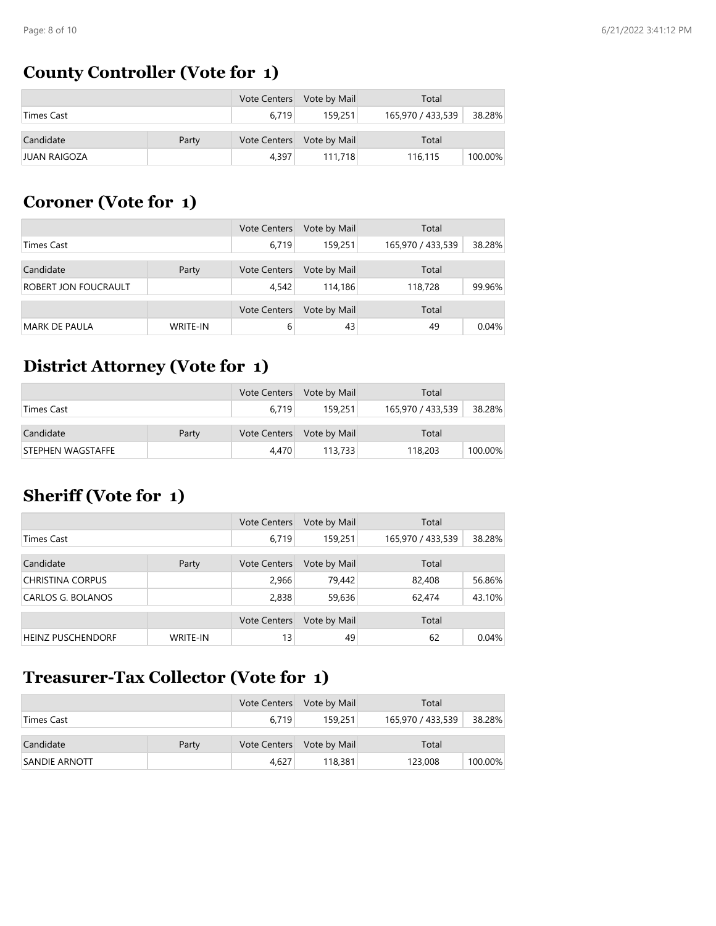# **County Controller (Vote for 1)**

|                     |       | <b>Vote Centers</b> | Vote by Mail | Total             |         |
|---------------------|-------|---------------------|--------------|-------------------|---------|
| Times Cast          |       | 6.719               | 159,251      | 165,970 / 433,539 | 38.28%  |
| Candidate           | Party | Vote Centers        | Vote by Mail | Total             |         |
| <b>JUAN RAIGOZA</b> |       | 4.397               | 111,718      | 116,115           | 100.00% |

### **Coroner (Vote for 1)**

|                      |                 | <b>Vote Centers</b> | Vote by Mail | Total             |        |
|----------------------|-----------------|---------------------|--------------|-------------------|--------|
| Times Cast           |                 | 6,719               | 159,251      | 165,970 / 433,539 | 38.28% |
|                      |                 |                     |              |                   |        |
| Candidate            | Party           | <b>Vote Centers</b> | Vote by Mail | Total             |        |
| ROBERT JON FOUCRAULT |                 | 4,542               | 114,186      | 118,728           | 99.96% |
|                      |                 |                     |              |                   |        |
|                      |                 | <b>Vote Centers</b> | Vote by Mail | Total             |        |
| <b>MARK DE PAULA</b> | <b>WRITE-IN</b> | 6                   | 43           | 49                | 0.04%  |

### **District Attorney (Vote for 1)**

|                   |       | <b>Vote Centers</b> | Vote by Mail | Total             |         |
|-------------------|-------|---------------------|--------------|-------------------|---------|
| Times Cast        |       | 6.719               | 159,251      | 165,970 / 433,539 | 38.28%  |
|                   |       |                     |              |                   |         |
| Candidate         | Party | <b>Vote Centers</b> | Vote by Mail | Total             |         |
| STEPHEN WAGSTAFFE |       | 4.470               | 113,733      | 118,203           | 100.00% |

### **Sheriff (Vote for 1)**

|                          |                 | <b>Vote Centers</b> | Vote by Mail | Total             |        |
|--------------------------|-----------------|---------------------|--------------|-------------------|--------|
| Times Cast               |                 | 6.719               | 159,251      | 165,970 / 433,539 | 38.28% |
|                          |                 |                     |              |                   |        |
| Candidate                | Party           | <b>Vote Centers</b> | Vote by Mail | Total             |        |
| <b>CHRISTINA CORPUS</b>  |                 | 2,966               | 79,442       | 82,408            | 56.86% |
| CARLOS G. BOLANOS        |                 | 2,838               | 59,636       | 62,474            | 43.10% |
|                          |                 |                     |              |                   |        |
|                          |                 | <b>Vote Centers</b> | Vote by Mail | Total             |        |
| <b>HEINZ PUSCHENDORF</b> | <b>WRITE-IN</b> | 13                  | 49           | 62                | 0.04%  |

### **Treasurer-Tax Collector (Vote for 1)**

|                      |       | Vote Centers | Vote by Mail | Total             |         |
|----------------------|-------|--------------|--------------|-------------------|---------|
| Times Cast           |       | 6.719        | 159.251      | 165,970 / 433,539 | 38.28%  |
|                      |       |              |              |                   |         |
| Candidate            | Party | Vote Centers | Vote by Mail | Total             |         |
| <b>SANDIE ARNOTT</b> |       | 4.627        | 118,381      | 123,008           | 100.00% |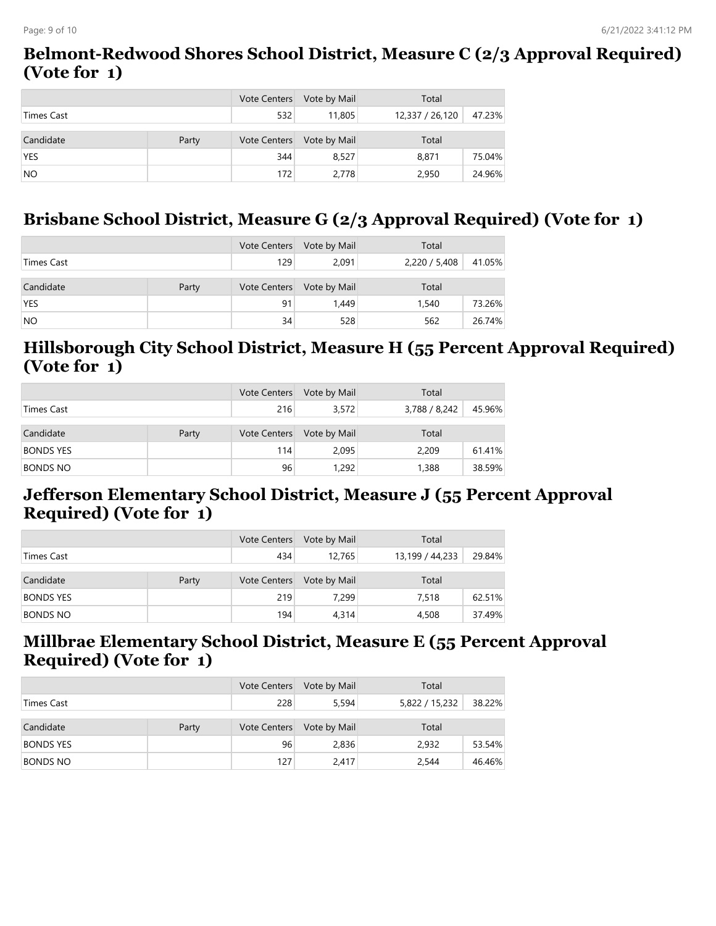#### **Belmont-Redwood Shores School District, Measure C (2/3 Approval Required) (Vote for 1)**

|                   |       | <b>Vote Centers</b> | Vote by Mail | Total           |        |
|-------------------|-------|---------------------|--------------|-----------------|--------|
| <b>Times Cast</b> |       | 532                 | 11,805       | 12,337 / 26,120 | 47.23% |
| Candidate         | Party | <b>Vote Centers</b> | Vote by Mail | Total           |        |
| <b>YES</b>        |       | 344                 | 8.527        | 8,871           | 75.04% |
| <b>NO</b>         |       | 172                 | 2,778        | 2,950           | 24.96% |

# **Brisbane School District, Measure G (2/3 Approval Required) (Vote for 1)**

|            |       | Vote Centers        | Vote by Mail | Total         |        |
|------------|-------|---------------------|--------------|---------------|--------|
| Times Cast |       | 129                 | 2,091        | 2,220 / 5,408 | 41.05% |
| Candidate  | Party | <b>Vote Centers</b> | Vote by Mail | Total         |        |
| <b>YES</b> |       | 91                  | 1.449        | 1,540         | 73.26% |
| NO.        |       | 34                  | 528          | 562           | 26.74% |

#### **Hillsborough City School District, Measure H (55 Percent Approval Required) (Vote for 1)**

|                  |       | <b>Vote Centers</b> | Vote by Mail | Total         |        |
|------------------|-------|---------------------|--------------|---------------|--------|
| Times Cast       |       | 216                 | 3,572        | 3,788 / 8,242 | 45.96% |
| Candidate        | Party | <b>Vote Centers</b> | Vote by Mail | Total         |        |
| <b>BONDS YES</b> |       | 114                 | 2.095        | 2,209         | 61.41% |
| <b>BONDS NO</b>  |       | 96                  | 1.292        | 1,388         | 38.59% |

#### **Jefferson Elementary School District, Measure J (55 Percent Approval Required) (Vote for 1)**

|                  |       | <b>Vote Centers</b> | Vote by Mail | Total           |        |
|------------------|-------|---------------------|--------------|-----------------|--------|
| Times Cast       |       | 434                 | 12.765       | 13,199 / 44,233 | 29.84% |
| Candidate        | Party | <b>Vote Centers</b> | Vote by Mail | Total           |        |
| <b>BONDS YES</b> |       | 219                 | 7.299        | 7.518           | 62.51% |
| <b>BONDS NO</b>  |       | 194                 | 4,314        | 4,508           | 37.49% |

#### **Millbrae Elementary School District, Measure E (55 Percent Approval Required) (Vote for 1)**

|                  |       | Vote Centers        | Vote by Mail | Total                    |  |
|------------------|-------|---------------------|--------------|--------------------------|--|
| Times Cast       |       | 228                 | 5.594        | 38.22%<br>5,822 / 15,232 |  |
| Candidate        | Party | <b>Vote Centers</b> | Vote by Mail | Total                    |  |
| <b>BONDS YES</b> |       | 96                  | 2,836        | 2.932<br>53.54%          |  |
| <b>BONDS NO</b>  |       | 127                 | 2,417        | 2,544<br>46.46%          |  |